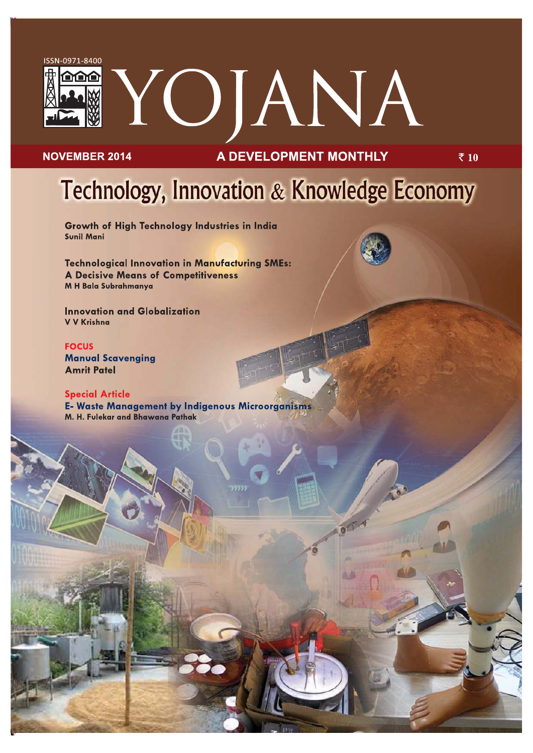

### **NOVEMBER 2014**

### **A DEVELOPMENT MONTHLY**

 $\bar{\bar{\xi}}$  10

# Technology, Innovation & Knowledge Economy

Growth of High Technology Industries in India **Sunil Mani** 

**Technological Innovation in Manufacturing SMEs: A Decisive Means of Competitiveness** M H Bala Subrahmanya

**Innovation and Globalization** V V Krishna

**FOCUS Manual Scavenging Amrit Patel** 

### **Special Article**

E- Waste Management by Indigenous Microorganisms M. H. Fulekar and Bhawana Pathak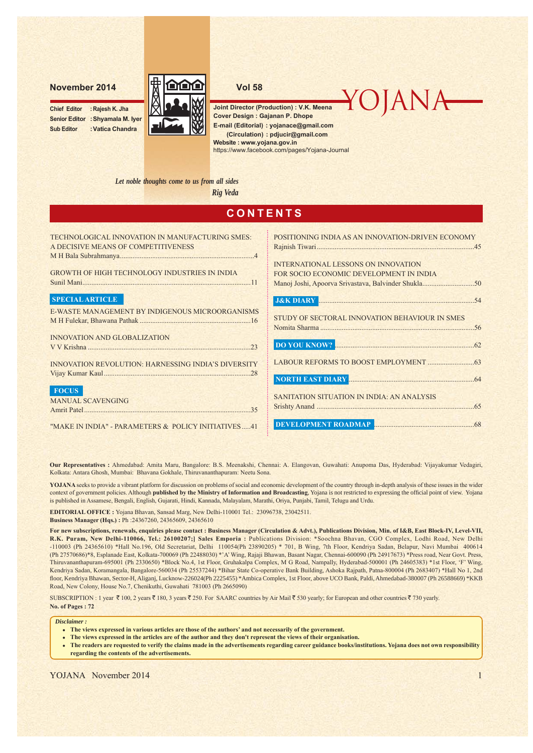**Chief Editor : Rajesh K. Jha Senior Editor :Shyamala M. Iyer Sub Editor :Vatica Chandra**



**Joint Director (Production) : V.K. Meena Cover Design : Gajanan P. Dhope E-mail (Editorial) : yojanace@gmail.com Website : www.yojana.gov.in (Circulation) : pdjucir@gmail.com**

YOJANA

https://www.facebook.com/pages/Yojana-Journal

*Let noble thoughts come to us from all sides*

*Rig Veda*

| <b>CONTENTS</b>                                                                        |                                                                                                      |  |  |  |
|----------------------------------------------------------------------------------------|------------------------------------------------------------------------------------------------------|--|--|--|
| TECHNOLOGICAL INNOVATION IN MANUFACTURING SMES:<br>A DECISIVE MEANS OF COMPETITIVENESS | POSITIONING INDIA AS AN INNOVATION-DRIVEN ECONOMY                                                    |  |  |  |
| <b>GROWTH OF HIGH TECHNOLOGY INDUSTRIES IN INDIA</b>                                   | <b>INTERNATIONAL LESSONS ON INNOVATION</b><br>FOR SOCIO ECONOMIC DEVELOPMENT IN INDIA                |  |  |  |
| <b>SPECIAL ARTICLE</b>                                                                 | <b>J&amp;K DIARY MARY MARY MARY MARY MARY MARY MARY MARY MARY MARY MARY MARY MARY MARY MARY MARY</b> |  |  |  |
| E-WASTE MANAGEMENT BY INDIGENOUS MICROORGANISMS                                        | STUDY OF SECTORAL INNOVATION BEHAVIOUR IN SMES                                                       |  |  |  |
| <b>INNOVATION AND GLOBALIZATION</b><br>V V Krishna 23                                  |                                                                                                      |  |  |  |
| <b>INNOVATION REVOLUTION: HARNESSING INDIA'S DIVERSITY</b>                             | NORTH EAST DIARY NUMBER 1999                                                                         |  |  |  |
| <b>FOCUS</b><br><b>MANUAL SCAVENGING</b><br>Amrit Patel 35                             | SANITATION SITUATION IN INDIA: AN ANALYSIS                                                           |  |  |  |
| "MAKE IN INDIA" - PARAMETERS & POLICY INITIATIVES 41                                   | DEVELOPMENT ROADMAP                                                                                  |  |  |  |

**Our Representatives :** Ahmedabad: Amita Maru, Bangalore: B.S. Meenakshi, Chennai: A. Elangovan, Guwahati: Anupoma Das, Hyderabad: Vijayakumar Vedagiri, Kolkata: Antara Ghosh, Mumbai: Bhavana Gokhale, Thiruvananthapuram: Neetu Sona.

**YOJANA** seeks to provide a vibrant platform for discussion on problems of social and economic development of the country through in-depth analysis of these issues in the wider context of government policies. Although **published by the Ministry of Information and Broadcasting**, Yojana is not restricted to expressing the official point of view. Yojana is published in Assamese, Bengali, English, Gujarati, Hindi, Kannada, Malayalam, Marathi, Oriya, Punjabi, Tamil, Telugu and Urdu.

**EDITORIAL OFFICE :** Yojana Bhavan, Sansad Marg, New Delhi-110001 Tel.: 23096738, 23042511.

**Business Manager (Hqs.) :** Ph :24367260, 24365609, 24365610

**For new subscriptions, renewals, enquiries please contact : Business Manager (Circulation & Advt.), Publications Division, Min. of I&B, East Block-IV, Level-VII, R.K. Puram, New Delhi-110066, Tel.: 26100207;] Sales Emporia :** Publications Division: \*Soochna Bhavan, CGO Complex, Lodhi Road, New Delhi -110003 (Ph 24365610) \*Hall No.196, Old Secretariat, Delhi 110054(Ph 23890205) \* 701, B Wing, 7th Floor, Kendriya Sadan, Belapur, Navi Mumbai 400614 (Ph 27570686)\*8, Esplanade East, Kolkata-700069 (Ph 22488030) \*'A' Wing, Rajaji Bhawan, Basant Nagar, Chennai-600090 (Ph 24917673) \*Press road, Near Govt. Press, Thiruvananthapuram-695001 (Ph 2330650) \*Block No.4, 1st Floor, Gruhakalpa Complex, M G Road, Nampally, Hyderabad-500001 (Ph 24605383) \*1st Floor, 'F' Wing, Kendriya Sadan, Koramangala, Bangalore-560034 (Ph 25537244) \*Bihar State Co-operative Bank Building, Ashoka Rajpath, Patna-800004 (Ph 2683407) \*Hall No 1, 2nd floor, Kendriya Bhawan, Sector-H, Aliganj, Lucknow-226024(Ph 2225455) \*Ambica Complex, 1st Floor, above UCO Bank, Paldi, Ahmedabad-380007 (Ph 26588669) \*KKB Road, New Colony, House No.7, Chenikuthi, Guwahati 781003 (Ph 2665090)

SUBSCRIPTION : 1 year  $\bar{\tau}$  100, 2 years  $\bar{\tau}$  180, 3 years  $\bar{\tau}$  250. For SAARC countries by Air Mail  $\bar{\tau}$  530 yearly; for European and other countries  $\bar{\tau}$  730 yearly.

**No. of Pages : 72**

*Disclaimer :*

- The views expressed in various articles are those of the authors' and not necessarily of the government.
- <sup>z</sup> **The views expressed in the articles are of the author and they don't represent the views of their organisation.**
- <sup>z</sup> **The readers are requested to verify the claims made in the advertisements regarding career guidance books/institutions. Yojana does not own responsibility regarding the contents of the advertisements.**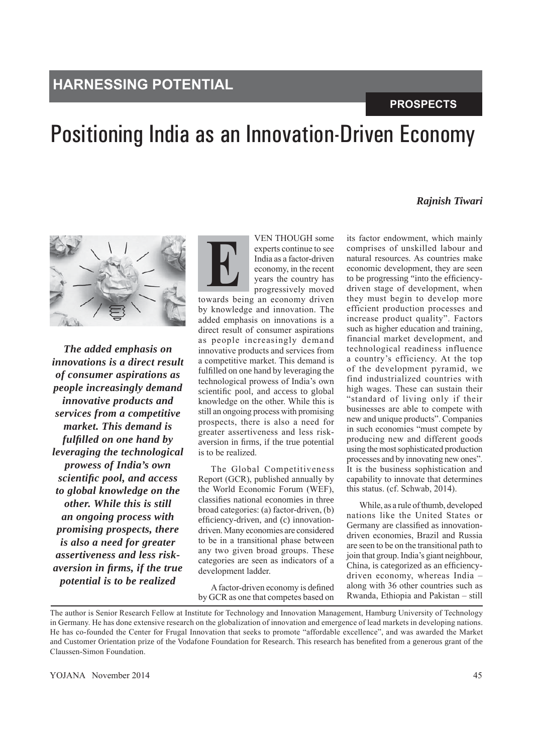## **HARNESSING POTENTIAL**

### **PROSPECTS**

## Positioning India as an Innovation-Driven Economy

### *Rajnish Tiwari*



*The added emphasis on innovations is a direct result of consumer aspirations as people increasingly demand innovative products and services from a competitive market. This demand is fulfilled on one hand by leveraging the technological prowess of India's own scientific pool, and access to global knowledge on the other. While this is still an ongoing process with promising prospects, there is also a need for greater assertiveness and less riskaversion in firms, if the true potential is to be realized*



**E**

by knowledge and innovation. The added emphasis on innovations is a direct result of consumer aspirations as people increasingly demand innovative products and services from a competitive market. This demand is fulfilled on one hand by leveraging the technological prowess of India's own scientific pool, and access to global knowledge on the other. While this is still an ongoing process with promising prospects, there is also a need for greater assertiveness and less riskaversion in firms, if the true potential is to be realized.

The Global Competitiveness Report (GCR), published annually by the World Economic Forum (WEF), classifies national economies in three broad categories: (a) factor-driven, (b) efficiency-driven, and (c) innovationdriven. Many economies are considered to be in a transitional phase between any two given broad groups. These categories are seen as indicators of a development ladder.

A factor-driven economy is defined by GCR as one that competes based on

its factor endowment, which mainly comprises of unskilled labour and natural resources. As countries make economic development, they are seen to be progressing "into the efficiencydriven stage of development, when they must begin to develop more efficient production processes and increase product quality". Factors such as higher education and training, financial market development, and technological readiness influence a country's efficiency. At the top of the development pyramid, we find industrialized countries with high wages. These can sustain their "standard of living only if their businesses are able to compete with new and unique products". Companies in such economies "must compete by producing new and different goods using the most sophisticated production processes and by innovating new ones". It is the business sophistication and capability to innovate that determines this status. (cf. Schwab, 2014).

While, as a rule of thumb, developed nations like the United States or Germany are classified as innovationdriven economies, Brazil and Russia are seen to be on the transitional path to join that group. India's giant neighbour, China, is categorized as an efficiencydriven economy, whereas India – along with 36 other countries such as Rwanda, Ethiopia and Pakistan – still

The author is Senior Research Fellow at Institute for Technology and Innovation Management, Hamburg University of Technology in Germany. He has done extensive research on the globalization of innovation and emergence of lead markets in developing nations. He has co-founded the Center for Frugal Innovation that seeks to promote "affordable excellence", and was awarded the Market and Customer Orientation prize of the Vodafone Foundation for Research. This research has benefited from a generous grant of the Claussen-Simon Foundation.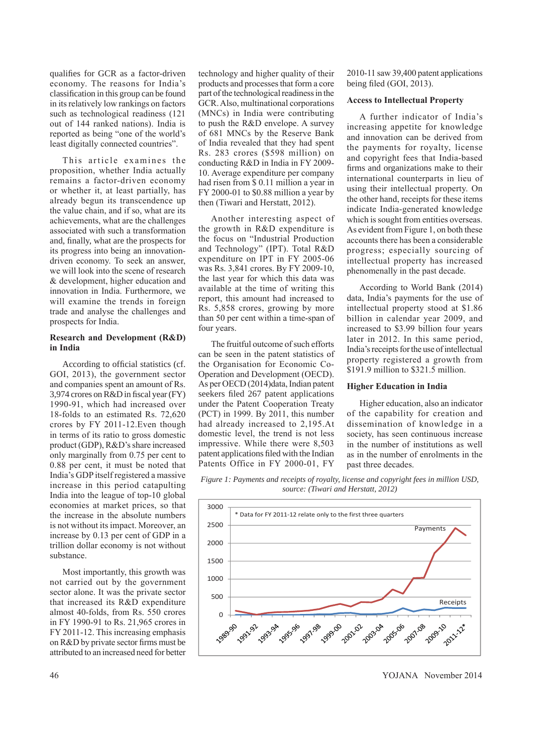qualifies for GCR as a factor-driven economy. The reasons for India's classification in this group can be found in its relatively low rankings on factors such as technological readiness (121 out of 144 ranked nations). India is reported as being "one of the world's least digitally connected countries".

This article examines the proposition, whether India actually remains a factor-driven economy or whether it, at least partially, has already begun its transcendence up the value chain, and if so, what are its achievements, what are the challenges associated with such a transformation and, finally, what are the prospects for its progress into being an innovationdriven economy. To seek an answer, we will look into the scene of research & development, higher education and innovation in India. Furthermore, we will examine the trends in foreign trade and analyse the challenges and prospects for India.

### **Research and Development (R&D) in India**

According to official statistics (cf. GOI, 2013), the government sector and companies spent an amount of Rs. 3,974 crores on R&D in fiscal year (FY) 1990-91, which had increased over 18-folds to an estimated Rs. 72,620 crores by FY 2011-12.Even though in terms of its ratio to gross domestic product (GDP), R&D's share increased only marginally from 0.75 per cent to 0.88 per cent, it must be noted that India's GDP itself registered a massive increase in this period catapulting India into the league of top-10 global economies at market prices, so that the increase in the absolute numbers is not without its impact. Moreover, an increase by 0.13 per cent of GDP in a trillion dollar economy is not without substance.

Most importantly, this growth was not carried out by the government sector alone. It was the private sector that increased its R&D expenditure almost 40-folds, from Rs. 550 crores in FY 1990-91 to Rs. 21,965 crores in FY 2011-12. This increasing emphasis on R&D by private sector firms must be attributed to an increased need for better

technology and higher quality of their products and processes that form a core part of the technological readiness in the GCR. Also, multinational corporations (MNCs) in India were contributing to push the R&D envelope. A survey of 681 MNCs by the Reserve Bank of India revealed that they had spent Rs. 283 crores (\$598 million) on conducting R&D in India in FY 2009- 10. Average expenditure per company had risen from \$ 0.11 million a year in FY 2000-01 to \$0.88 million a year by then (Tiwari and Herstatt, 2012).

Another interesting aspect of the growth in R&D expenditure is the focus on "Industrial Production and Technology" (IPT). Total R&D expenditure on IPT in FY 2005-06 was Rs. 3,841 crores. By FY 2009-10, the last year for which this data was available at the time of writing this report, this amount had increased to Rs. 5,858 crores, growing by more than 50 per cent within a time-span of four years.

The fruitful outcome of such efforts can be seen in the patent statistics of the Organisation for Economic Co-Operation and Development (OECD). As per OECD (2014)data, Indian patent seekers filed 267 patent applications under the Patent Cooperation Treaty (PCT) in 1999. By 2011, this number had already increased to 2,195.At domestic level, the trend is not less impressive. While there were 8,503 patent applications filed with the Indian Patents Office in FY 2000-01, FY

2010-11 saw 39,400 patent applications being filed (GOI, 2013).

### **Access to Intellectual Property**

A further indicator of India's increasing appetite for knowledge and innovation can be derived from the payments for royalty, license and copyright fees that India-based firms and organizations make to their international counterparts in lieu of using their intellectual property. On the other hand, receipts for these items indicate India-generated knowledge which is sought from entities overseas. As evident from Figure 1, on both these accounts there has been a considerable progress; especially sourcing of intellectual property has increased phenomenally in the past decade.

According to World Bank (2014) data, India's payments for the use of intellectual property stood at \$1.86 billion in calendar year 2009, and increased to \$3.99 billion four years later in 2012. In this same period, India's receipts for the use of intellectual property registered a growth from \$191.9 million to \$321.5 million.

### **Higher Education in India**

Higher education, also an indicator of the capability for creation and dissemination of knowledge in a society, has seen continuous increase in the number of institutions as well as in the number of enrolments in the past three decades.

*Figure 1: Payments and receipts of royalty, license and copyright fees in million USD, source: (Tiwari and Herstatt, 2012)*



46 YOJANA November 2014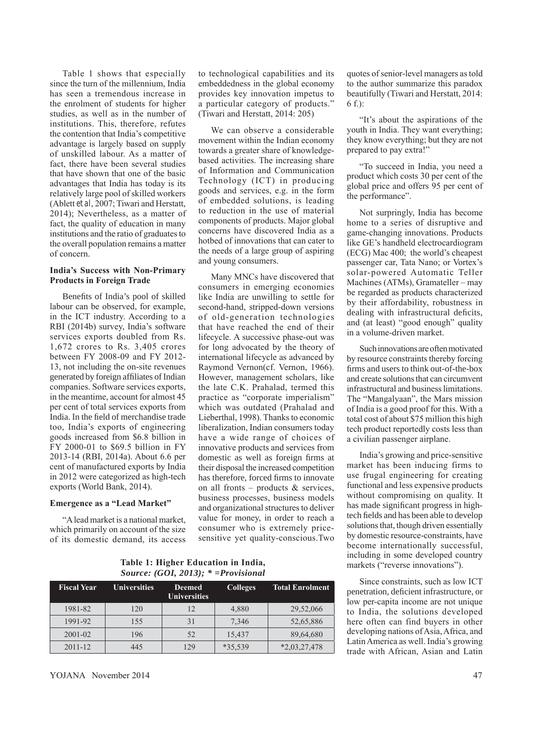Table 1 shows that especially since the turn of the millennium, India has seen a tremendous increase in the enrolment of students for higher studies, as well as in the number of institutions. This, therefore, refutes the contention that India's competitive advantage is largely based on supply of unskilled labour. As a matter of fact, there have been several studies that have shown that one of the basic advantages that India has today is its relatively large pool of skilled workers (Ablett *et al*, 2007; Tiwari and Herstatt, 2014); Nevertheless, as a matter of fact, the quality of education in many institutions and the ratio of graduates to the overall population remains a matter of concern.

### **India's Success with Non-Primary Products in Foreign Trade**

Benefits of India's pool of skilled labour can be observed, for example, in the ICT industry. According to a RBI (2014b) survey, India's software services exports doubled from Rs. 1,672 crores to Rs. 3,405 crores between FY 2008-09 and FY 2012- 13, not including the on-site revenues generated by foreign affiliates of Indian companies. Software services exports, in the meantime, account for almost 45 per cent of total services exports from India. In the field of merchandise trade too, India's exports of engineering goods increased from \$6.8 billion in FY 2000-01 to \$69.5 billion in FY 2013-14 (RBI, 2014a). About 6.6 per cent of manufactured exports by India in 2012 were categorized as high-tech exports (World Bank, 2014).

### **Emergence as a "Lead Market"**

"A lead market is a national market, which primarily on account of the size of its domestic demand, its access

to technological capabilities and its embeddedness in the global economy provides key innovation impetus to a particular category of products." (Tiwari and Herstatt, 2014: 205)

We can observe a considerable movement within the Indian economy towards a greater share of knowledgebased activities. The increasing share of Information and Communication Technology (ICT) in producing goods and services, e.g. in the form of embedded solutions, is leading to reduction in the use of material components of products. Major global concerns have discovered India as a hotbed of innovations that can cater to the needs of a large group of aspiring and young consumers.

Many MNCs have discovered that consumers in emerging economies like India are unwilling to settle for second-hand, stripped-down versions of old-generation technologies that have reached the end of their lifecycle. A successive phase-out was for long advocated by the theory of international lifecycle as advanced by Raymond Vernon(cf. Vernon, 1966). However, management scholars, like the late C.K. Prahalad, termed this practice as "corporate imperialism" which was outdated (Prahalad and Lieberthal, 1998). Thanks to economic liberalization, Indian consumers today have a wide range of choices of innovative products and services from domestic as well as foreign firms at their disposal the increased competition has therefore, forced firms to innovate on all fronts – products & services, business processes, business models and organizational structures to deliver value for money, in order to reach a consumer who is extremely pricesensitive yet quality-conscious.Two

**Table 1: Higher Education in India,**  *Source: (GOI, 2013); \* =Provisional*

| <b>Fiscal Year</b> | <b>Universities</b> | <b>Deemed</b><br><b>Universities</b> | <b>Colleges</b> | <b>Total Enrolment</b> |
|--------------------|---------------------|--------------------------------------|-----------------|------------------------|
| 1981-82            | 120                 | 12                                   | 4,880           | 29,52,066              |
| 1991-92            | 155                 | 31                                   | 7,346           | 52,65,886              |
| 2001-02            | 196                 | 52                                   | 15,437          | 89,64,680              |
| $2011 - 12$        | 445                 | 129                                  | *35,539         | $*2,03,27,478$         |

quotes of senior-level managers as told to the author summarize this paradox beautifully (Tiwari and Herstatt, 2014: 6 f.):

"It's about the aspirations of the youth in India. They want everything; they know everything; but they are not prepared to pay extra!"

"To succeed in India, you need a product which costs 30 per cent of the global price and offers 95 per cent of the performance".

Not surpringly, India has become home to a series of disruptive and game-changing innovations. Products like GE's handheld electrocardiogram (ECG) Mac 400; the world's cheapest passenger car, Tata Nano; or Vortex's solar-powered Automatic Teller Machines (ATMs), Gramateller – may be regarded as products characterized by their affordability, robustness in dealing with infrastructural deficits, and (at least) "good enough" quality in a volume-driven market.

Such innovations are often motivated by resource constraints thereby forcing firms and users to think out-of-the-box and create solutions that can circumvent infrastructural and business limitations. The "Mangalyaan", the Mars mission of India is a good proof for this. With a total cost of about \$75 million this high tech product reportedly costs less than a civilian passenger airplane.

India's growing and price-sensitive market has been inducing firms to use frugal engineering for creating functional and less expensive products without compromising on quality. It has made significant progress in hightech fields and has been able to develop solutions that, though driven essentially by domestic resource-constraints, have become internationally successful, including in some developed country markets ("reverse innovations").

Since constraints, such as low ICT penetration, deficient infrastructure, or low per-capita income are not unique to India, the solutions developed here often can find buyers in other developing nations of Asia, Africa, and Latin America as well. India's growing trade with African, Asian and Latin

YOJANA November 2014 47